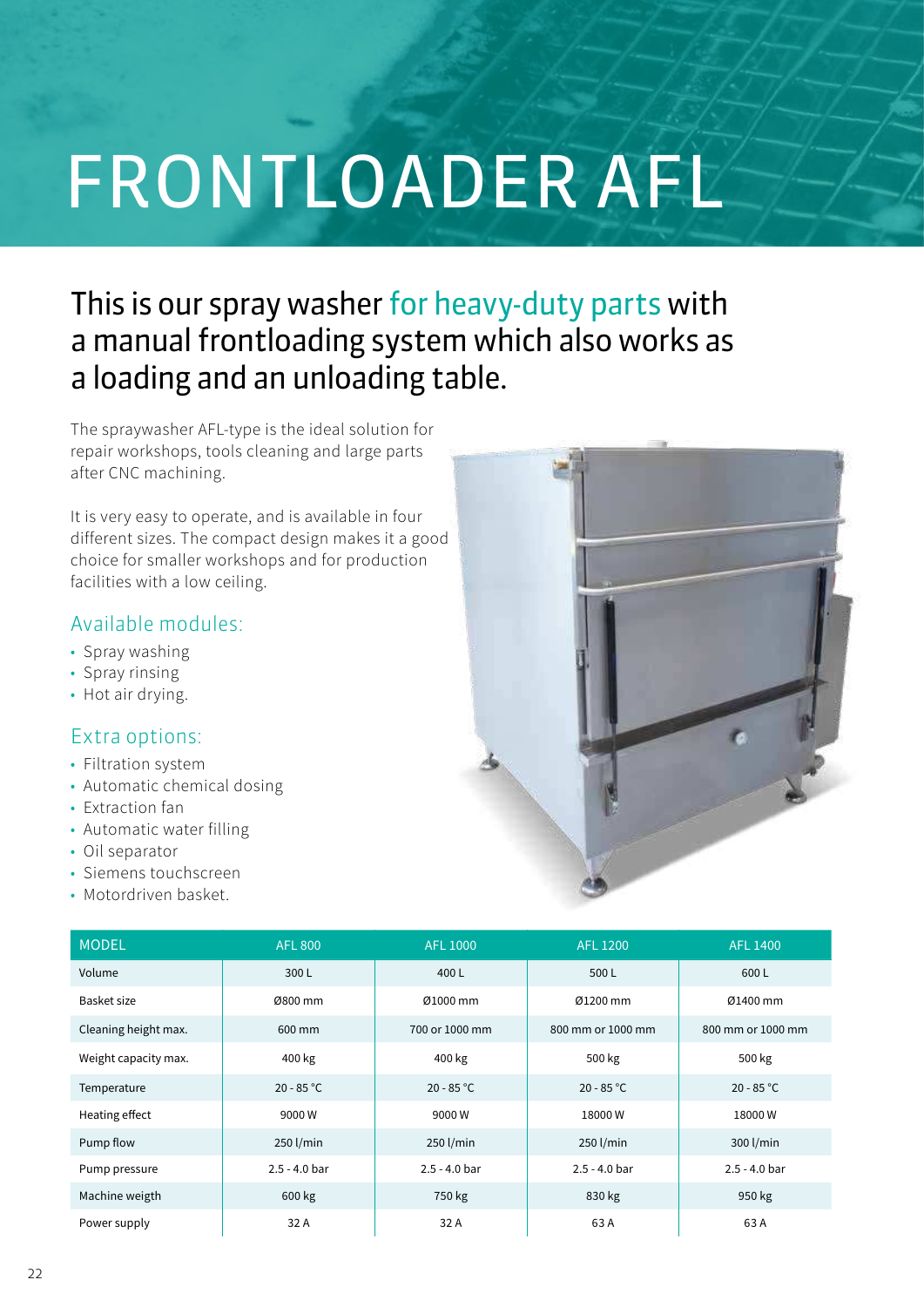# FRONTLOADER AFL

## This is our spray washer for heavy-duty parts with a manual frontloading system which also works as a loading and an unloading table.

The spraywasher AFL-type is the ideal solution for repair workshops, tools cleaning and large parts after CNC machining.

It is very easy to operate, and is available in four different sizes. The compact design makes it a good choice for smaller workshops and for production facilities with a low ceiling.

## Available modules:

- Spray washing
- Spray rinsing
- Hot air drying.

## Extra options:

- Filtration system
- Automatic chemical dosing
- Extraction fan
- Automatic water filling
- Oil separator
- Siemens touchscreen
- Motordriven basket.



| <b>MODEL</b>         | <b>AFL 800</b>  | <b>AFL 1000</b> | <b>AFL 1200</b>   | <b>AFL 1400</b>   |
|----------------------|-----------------|-----------------|-------------------|-------------------|
| Volume               | 300L            | 400L            | 500L              | 600L              |
| Basket size          | Ø800 mm         | Ø1000 mm        | Ø1200 mm          | Ø1400 mm          |
| Cleaning height max. | 600 mm          | 700 or 1000 mm  | 800 mm or 1000 mm | 800 mm or 1000 mm |
| Weight capacity max. | 400 kg          | 400 kg          | 500 kg            | 500 kg            |
| Temperature          | $20 - 85 °C$    | $20 - 85 °C$    | $20 - 85 °C$      | $20 - 85 °C$      |
| Heating effect       | 9000W           | 9000W           | 18000W            | 18000W            |
| Pump flow            | 250 l/min       | 250 l/min       | 250 l/min         | 300 l/min         |
| Pump pressure        | $2.5 - 4.0$ bar | $2.5 - 4.0$ bar | $2.5 - 4.0$ bar   | $2.5 - 4.0$ bar   |
| Machine weigth       | 600 kg          | 750 kg          | 830 kg            | 950 kg            |
| Power supply         | 32 A            | 32 A            | 63 A              | 63 A              |